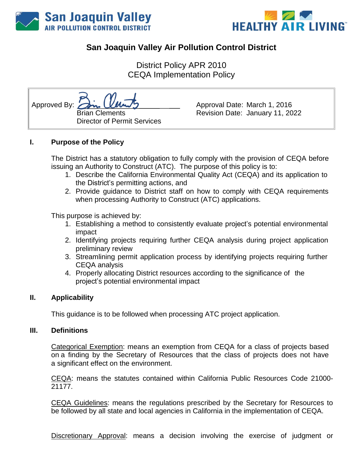



# **San Joaquin Valley Air Pollution Control District**

District Policy APR 2010 CEQA Implementation Policy

Approved By: Brian Clements Director of Permit Services

Approval Date: March 1, 2016 Revision Date: January 11, 2022

#### **I. Purpose of the Policy**

The District has a statutory obligation to fully comply with the provision of CEQA before issuing an Authority to Construct (ATC). The purpose of this policy is to:

- 1. Describe the California Environmental Quality Act (CEQA) and its application to the District's permitting actions, and
- 2. Provide guidance to District staff on how to comply with CEQA requirements when processing Authority to Construct (ATC) applications.

This purpose is achieved by:

- 1. Establishing a method to consistently evaluate project's potential environmental impact
- 2. Identifying projects requiring further CEQA analysis during project application preliminary review
- 3. Streamlining permit application process by identifying projects requiring further CEQA analysis
- 4. Properly allocating District resources according to the significance of the project's potential environmental impact

#### **II. Applicability**

This guidance is to be followed when processing ATC project application.

#### **III. Definitions**

Categorical Exemption: means an exemption from CEQA for a class of projects based on a finding by the Secretary of Resources that the class of projects does not have a significant effect on the environment.

CEQA: means the statutes contained within California Public Resources Code 21000- 21177.

CEQA Guidelines: means the regulations prescribed by the Secretary for Resources to be followed by all state and local agencies in California in the implementation of CEQA.

Discretionary Approval: means a decision involving the exercise of judgment or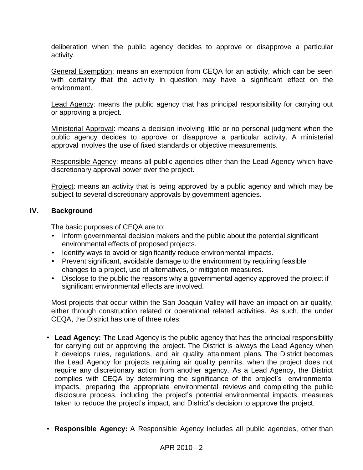deliberation when the public agency decides to approve or disapprove a particular activity.

General Exemption: means an exemption from CEQA for an activity, which can be seen with certainty that the activity in question may have a significant effect on the environment.

Lead Agency: means the public agency that has principal responsibility for carrying out or approving a project.

Ministerial Approval: means a decision involving little or no personal judgment when the public agency decides to approve or disapprove a particular activity. A ministerial approval involves the use of fixed standards or objective measurements.

Responsible Agency: means all public agencies other than the Lead Agency which have discretionary approval power over the project.

Project: means an activity that is being approved by a public agency and which may be subject to several discretionary approvals by government agencies.

#### **IV. Background**

The basic purposes of CEQA are to:

- Inform governmental decision makers and the public about the potential significant environmental effects of proposed projects.
- Identify ways to avoid or significantly reduce environmental impacts.
- Prevent significant, avoidable damage to the environment by requiring feasible changes to a project, use of alternatives, or mitigation measures.
- Disclose to the public the reasons why a governmental agency approved the project if significant environmental effects are involved.

Most projects that occur within the San Joaquin Valley will have an impact on air quality, either through construction related or operational related activities. As such, the under CEQA, the District has one of three roles:

- **Lead Agency:** The Lead Agency is the public agency that has the principal responsibility for carrying out or approving the project. The District is always the Lead Agency when it develops rules, regulations, and air quality attainment plans. The District becomes the Lead Agency for projects requiring air quality permits, when the project does not require any discretionary action from another agency. As a Lead Agency, the District complies with CEQA by determining the significance of the project's environmental impacts, preparing the appropriate environmental reviews and completing the public disclosure process, including the project's potential environmental impacts, measures taken to reduce the project's impact, and District's decision to approve the project.
- **Responsible Agency:** A Responsible Agency includes all public agencies, other than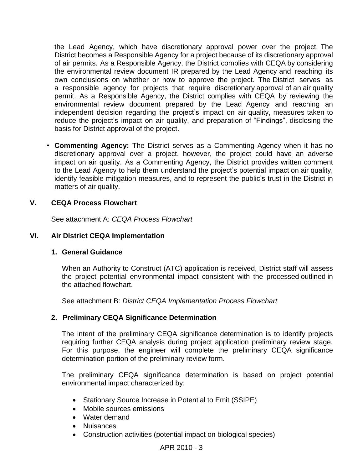the Lead Agency, which have discretionary approval power over the project. The District becomes a Responsible Agency for a project because of its discretionary approval of air permits. As a Responsible Agency, the District complies with CEQA by considering the environmental review document IR prepared by the Lead Agency and reaching its own conclusions on whether or how to approve the project. The District serves as a responsible agency for projects that require discretionary approval of an air quality permit. As a Responsible Agency, the District complies with CEQA by reviewing the environmental review document prepared by the Lead Agency and reaching an independent decision regarding the project's impact on air quality, measures taken to reduce the project's impact on air quality, and preparation of "Findings", disclosing the basis for District approval of the project.

• **Commenting Agency:** The District serves as a Commenting Agency when it has no discretionary approval over a project, however, the project could have an adverse impact on air quality. As a Commenting Agency, the District provides written comment to the Lead Agency to help them understand the project's potential impact on air quality, identify feasible mitigation measures, and to represent the public's trust in the District in matters of air quality.

# **V. CEQA Process Flowchart**

See attachment A: *CEQA Process Flowchart*

#### **VI. Air District CEQA Implementation**

#### **1. General Guidance**

When an Authority to Construct (ATC) application is received, District staff will assess the project potential environmental impact consistent with the processed outlined in the attached flowchart.

See attachment B: *District CEQA Implementation Process Flowchart*

#### **2. Preliminary CEQA Significance Determination**

The intent of the preliminary CEQA significance determination is to identify projects requiring further CEQA analysis during project application preliminary review stage. For this purpose, the engineer will complete the preliminary CEQA significance determination portion of the preliminary review form.

The preliminary CEQA significance determination is based on project potential environmental impact characterized by:

- Stationary Source Increase in Potential to Emit (SSIPE)
- Mobile sources emissions
- Water demand
- Nuisances
- Construction activities (potential impact on biological species)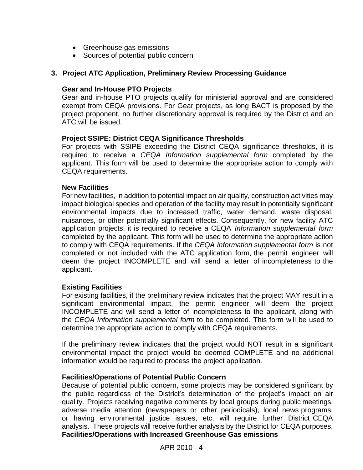- Greenhouse gas emissions
- Sources of potential public concern

# **3. Project ATC Application, Preliminary Review Processing Guidance**

#### **Gear and In-House PTO Projects**

Gear and in-house PTO projects qualify for ministerial approval and are considered exempt from CEQA provisions. For Gear projects, as long BACT is proposed by the project proponent, no further discretionary approval is required by the District and an ATC will be issued.

# **Project SSIPE: District CEQA Significance Thresholds**

For projects with SSIPE exceeding the District CEQA significance thresholds, it is required to receive a *CEQA Information supplemental form* completed by the applicant. This form will be used to determine the appropriate action to comply with CEQA requirements.

#### **New Facilities**

For new facilities, in addition to potential impact on air quality, construction activities may impact biological species and operation of the facility may result in potentially significant environmental impacts due to increased traffic, water demand, waste disposal, nuisances, or other potentially significant effects. Consequently, for new facility ATC application projects, it is required to receive a CEQA *Information supplemental form* completed by the applicant. This form will be used to determine the appropriate action to comply with CEQA requirements. If the *CEQA Information supplemental form* is not completed or not included with the ATC application form, the permit engineer will deem the project INCOMPLETE and will send a letter of incompleteness to the applicant.

#### **Existing Facilities**

For existing facilities, if the preliminary review indicates that the project MAY result in a significant environmental impact, the permit engineer will deem the project INCOMPLETE and will send a letter of incompleteness to the applicant, along with the *CEQA Information supplemental form* to be completed. This form will be used to determine the appropriate action to comply with CEQA requirements.

If the preliminary review indicates that the project would NOT result in a significant environmental impact the project would be deemed COMPLETE and no additional information would be required to process the project application.

#### **Facilities/Operations of Potential Public Concern**

Because of potential public concern, some projects may be considered significant by the public regardless of the District's determination of the project's impact on air quality. Projects receiving negative comments by local groups during public meetings, adverse media attention (newspapers or other periodicals), local news programs, or having environmental justice issues, etc. will require further District CEQA analysis. These projects will receive further analysis by the District for CEQA purposes. **Facilities/Operations with Increased Greenhouse Gas emissions**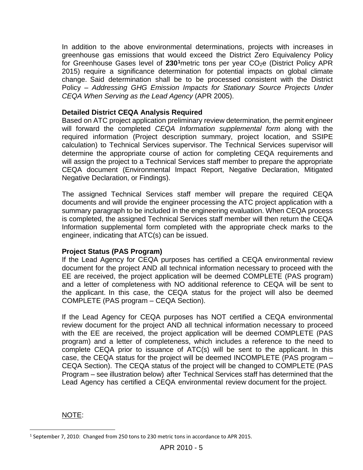In addition to the above environmental determinations, projects with increases in greenhouse gas emissions that would exceed the District Zero Equivalency Policy for Greenhouse Gases level of 230<sup>1</sup>metric tons per year CO<sub>2</sub>e (District Policy APR 2015) require a significance determination for potential impacts on global climate change. Said determination shall be to be processed consistent with the District Policy *– Addressing GHG Emission Impacts for Stationary Source Projects Under CEQA When Serving as the Lead Agency* (APR 2005).

#### **Detailed District CEQA Analysis Required**

Based on ATC project application preliminary review determination, the permit engineer will forward the completed *CEQA Information supplemental form* along with the required information (Project description summary, project location, and SSIPE calculation) to Technical Services supervisor. The Technical Services supervisor will determine the appropriate course of action for completing CEQA requirements and will assign the project to a Technical Services staff member to prepare the appropriate CEQA document (Environmental Impact Report, Negative Declaration, Mitigated Negative Declaration, or Findings).

The assigned Technical Services staff member will prepare the required CEQA documents and will provide the engineer processing the ATC project application with a summary paragraph to be included in the engineering evaluation. When CEQA process is completed, the assigned Technical Services staff member will then return the CEQA Information supplemental form completed with the appropriate check marks to the engineer, indicating that ATC(s) can be issued.

#### **Project Status (PAS Program)**

If the Lead Agency for CEQA purposes has certified a CEQA environmental review document for the project AND all technical information necessary to proceed with the EE are received, the project application will be deemed COMPLETE (PAS program) and a letter of completeness with NO additional reference to CEQA will be sent to the applicant. In this case, the CEQA status for the project will also be deemed COMPLETE (PAS program – CEQA Section).

If the Lead Agency for CEQA purposes has NOT certified a CEQA environmental review document for the project AND all technical information necessary to proceed with the EE are received, the project application will be deemed COMPLETE (PAS program) and a letter of completeness, which includes a reference to the need to complete CEQA prior to issuance of ATC(s) will be sent to the applicant. In this case, the CEQA status for the project will be deemed INCOMPLETE (PAS program – CEQA Section). The CEQA status of the project will be changed to COMPLETE (PAS Program – see illustration below) after Technical Services staff has determined that the Lead Agency has certified a CEQA environmental review document for the project.

NOTE:

l <sup>1</sup> September 7, 2010: Changed from 250 tons to 230 metric tons in accordance to APR 2015.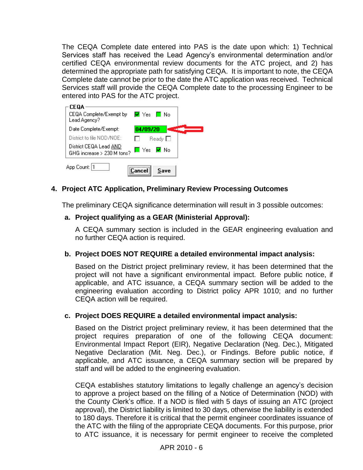The CEQA Complete date entered into PAS is the date upon which: 1) Technical Services staff has received the Lead Agency's environmental determination and/or certified CEQA environmental review documents for the ATC project, and 2) has determined the appropriate path for satisfying CEQA. It is important to note, the CEQA Complete date cannot be prior to the date the ATC application was received. Technical Services staff will provide the CEQA Complete date to the processing Engineer to be entered into PAS for the ATC project.

| CEQA<br>CEQA Complete/Exempt by<br>M Yes El No<br>Lead Agency?     |  |
|--------------------------------------------------------------------|--|
| Date Complete/Exempt:<br>04/09/20                                  |  |
| District to file NOD/NOE:<br>$\mathsf{Read} \mathsf{v} \ \Box$     |  |
| District CEQA Lead AND<br>E Yes E No<br>GHG increase > 230 M tons? |  |
| App Count: 1<br>Save<br>:Cancel                                    |  |

# **4. Project ATC Application, Preliminary Review Processing Outcomes**

The preliminary CEQA significance determination will result in 3 possible outcomes:

#### **a. Project qualifying as a GEAR (Ministerial Approval):**

A CEQA summary section is included in the GEAR engineering evaluation and no further CEQA action is required.

#### **b. Project DOES NOT REQUIRE a detailed environmental impact analysis:**

Based on the District project preliminary review, it has been determined that the project will not have a significant environmental impact. Before public notice, if applicable, and ATC issuance, a CEQA summary section will be added to the engineering evaluation according to District policy APR 1010; and no further CEQA action will be required.

#### **c. Project DOES REQUIRE a detailed environmental impact analysis:**

Based on the District project preliminary review, it has been determined that the project requires preparation of one of the following CEQA document: Environmental Impact Report (EIR), Negative Declaration (Neg. Dec.), Mitigated Negative Declaration (Mit. Neg. Dec.), or Findings. Before public notice, if applicable, and ATC issuance, a CEQA summary section will be prepared by staff and will be added to the engineering evaluation.

CEQA establishes statutory limitations to legally challenge an agency's decision to approve a project based on the filling of a Notice of Determination (NOD) with the County Clerk's office. If a NOD is filed with 5 days of issuing an ATC (project approval), the District liability is limited to 30 days, otherwise the liability is extended to 180 days. Therefore it is critical that the permit engineer coordinates issuance of the ATC with the filing of the appropriate CEQA documents. For this purpose, prior to ATC issuance, it is necessary for permit engineer to receive the completed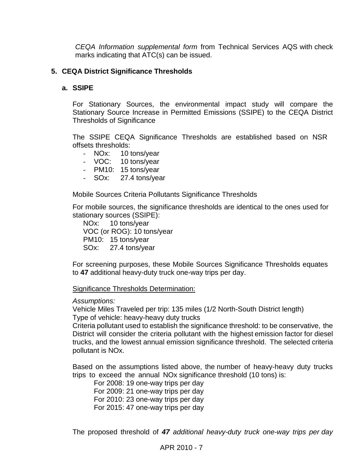*CEQA Information supplemental form* from Technical Services AQS with check marks indicating that ATC(s) can be issued.

# **5. CEQA District Significance Thresholds**

# **a. SSIPE**

For Stationary Sources, the environmental impact study will compare the Stationary Source Increase in Permitted Emissions (SSIPE) to the CEQA District Thresholds of Significance

The SSIPE CEQA Significance Thresholds are established based on NSR offsets thresholds:

- NOx: 10 tons/year
- VOC: 10 tons/year
- PM10: 15 tons/year
- SOx: 27.4 tons/year

Mobile Sources Criteria Pollutants Significance Thresholds

For mobile sources, the significance thresholds are identical to the ones used for stationary sources (SSIPE):

NOx: 10 tons/year VOC (or ROG): 10 tons/year PM10: 15 tons/year SOx: 27.4 tons/year

For screening purposes, these Mobile Sources Significance Thresholds equates to **47** additional heavy-duty truck one-way trips per day.

#### Significance Thresholds Determination:

#### *Assumptions:*

Vehicle Miles Traveled per trip: 135 miles (1/2 North-South District length) Type of vehicle: heavy-heavy duty trucks

Criteria pollutant used to establish the significance threshold: to be conservative, the District will consider the criteria pollutant with the highest emission factor for diesel trucks, and the lowest annual emission significance threshold. The selected criteria pollutant is NOx.

Based on the assumptions listed above, the number of heavy-heavy duty trucks trips to exceed the annual NOx significance threshold (10 tons) is:

For 2008: 19 one-way trips per day For 2009: 21 one-way trips per day For 2010: 23 one-way trips per day For 2015: 47 one-way trips per day

The proposed threshold of *47 additional heavy-duty truck one-way trips per day*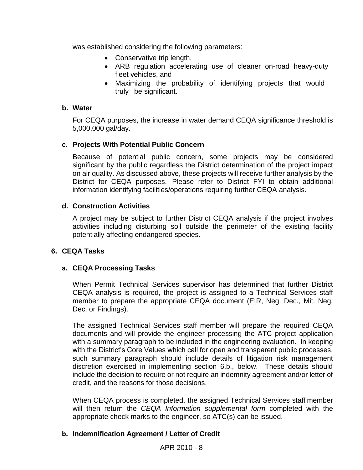was established considering the following parameters:

- Conservative trip length,
- ARB regulation accelerating use of cleaner on-road heavy-duty fleet vehicles, and
- Maximizing the probability of identifying projects that would truly be significant.

# **b. Water**

For CEQA purposes, the increase in water demand CEQA significance threshold is 5,000,000 gal/day.

# **c. Projects With Potential Public Concern**

Because of potential public concern, some projects may be considered significant by the public regardless the District determination of the project impact on air quality. As discussed above, these projects will receive further analysis by the District for CEQA purposes. Please refer to District FYI to obtain additional information identifying facilities/operations requiring further CEQA analysis.

# **d. Construction Activities**

A project may be subject to further District CEQA analysis if the project involves activities including disturbing soil outside the perimeter of the existing facility potentially affecting endangered species.

# **6. CEQA Tasks**

# **a. CEQA Processing Tasks**

When Permit Technical Services supervisor has determined that further District CEQA analysis is required, the project is assigned to a Technical Services staff member to prepare the appropriate CEQA document (EIR, Neg. Dec., Mit. Neg. Dec. or Findings).

The assigned Technical Services staff member will prepare the required CEQA documents and will provide the engineer processing the ATC project application with a summary paragraph to be included in the engineering evaluation. In keeping with the District's Core Values which call for open and transparent public processes, such summary paragraph should include details of litigation risk management discretion exercised in implementing section 6.b., below. These details should include the decision to require or not require an indemnity agreement and/or letter of credit, and the reasons for those decisions.

When CEQA process is completed, the assigned Technical Services staff member will then return the *CEQA Information supplemental form* completed with the appropriate check marks to the engineer, so ATC(s) can be issued.

# **b. Indemnification Agreement / Letter of Credit**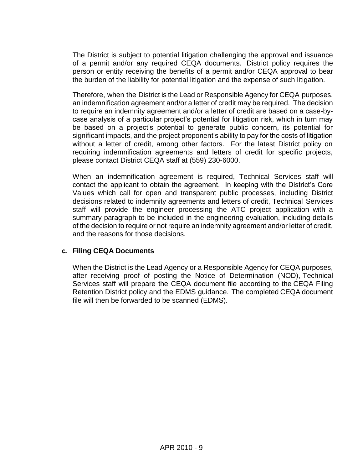The District is subject to potential litigation challenging the approval and issuance of a permit and/or any required CEQA documents. District policy requires the person or entity receiving the benefits of a permit and/or CEQA approval to bear the burden of the liability for potential litigation and the expense of such litigation.

Therefore, when the District is the Lead or Responsible Agency for CEQA purposes, an indemnification agreement and/or a letter of credit may be required. The decision to require an indemnity agreement and/or a letter of credit are based on a case-bycase analysis of a particular project's potential for litigation risk, which in turn may be based on a project's potential to generate public concern, its potential for significant impacts, and the project proponent's ability to pay for the costs of litigation without a letter of credit, among other factors. For the latest District policy on requiring indemnification agreements and letters of credit for specific projects, please contact District CEQA staff at (559) 230-6000.

When an indemnification agreement is required, Technical Services staff will contact the applicant to obtain the agreement. In keeping with the District's Core Values which call for open and transparent public processes, including District decisions related to indemnity agreements and letters of credit, Technical Services staff will provide the engineer processing the ATC project application with a summary paragraph to be included in the engineering evaluation, including details of the decision to require or not require an indemnity agreement and/or letter of credit, and the reasons for those decisions.

#### **c. Filing CEQA Documents**

When the District is the Lead Agency or a Responsible Agency for CEQA purposes, after receiving proof of posting the Notice of Determination (NOD), Technical Services staff will prepare the CEQA document file according to the CEQA Filing Retention District policy and the EDMS guidance. The completed CEQA document file will then be forwarded to be scanned (EDMS).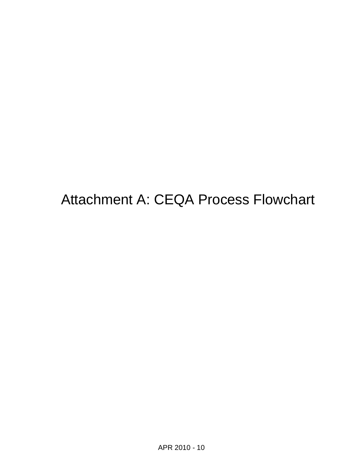Attachment A: CEQA Process Flowchart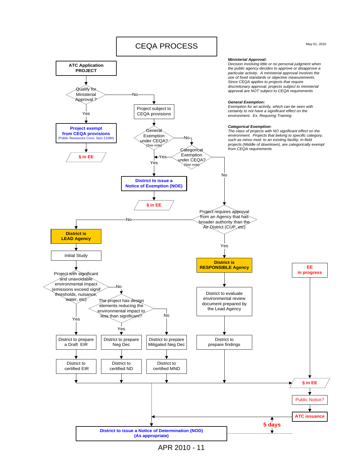

APR 2010 - 11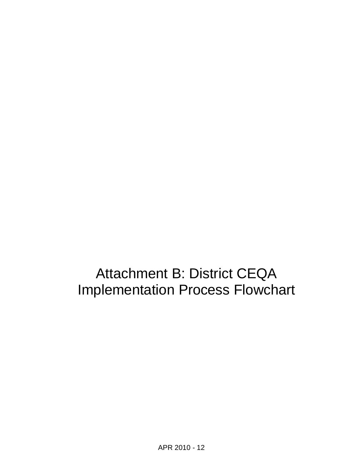Attachment B: District CEQA Implementation Process Flowchart